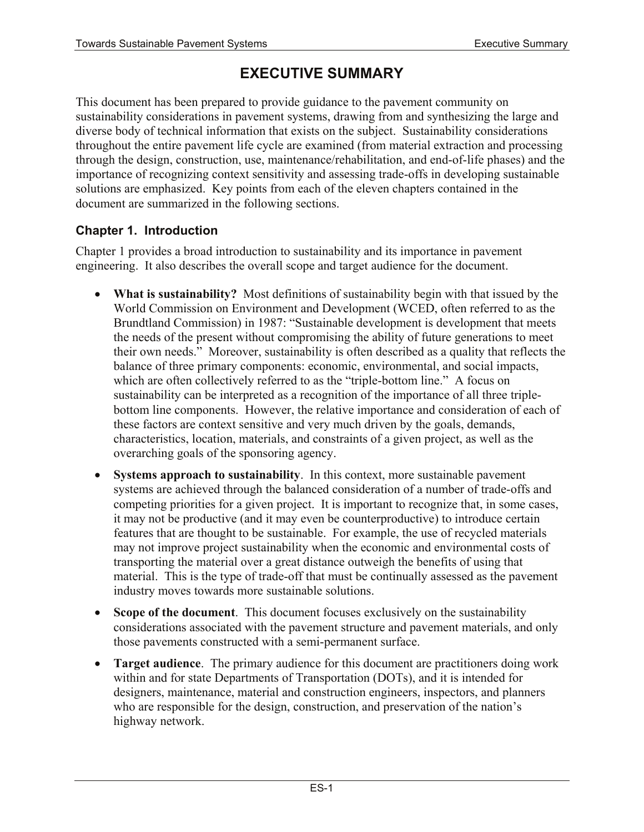# **EXECUTIVE SUMMARY**

This document has been prepared to provide guidance to the pavement community on sustainability considerations in pavement systems, drawing from and synthesizing the large and diverse body of technical information that exists on the subject. Sustainability considerations throughout the entire pavement life cycle are examined (from material extraction and processing through the design, construction, use, maintenance/rehabilitation, and end-of-life phases) and the importance of recognizing context sensitivity and assessing trade-offs in developing sustainable solutions are emphasized. Key points from each of the eleven chapters contained in the document are summarized in the following sections.

# **Chapter 1. Introduction**

Chapter 1 provides a broad introduction to sustainability and its importance in pavement engineering. It also describes the overall scope and target audience for the document.

- **What is sustainability?** Most definitions of sustainability begin with that issued by the World Commission on Environment and Development (WCED, often referred to as the Brundtland Commission) in 1987: "Sustainable development is development that meets the needs of the present without compromising the ability of future generations to meet their own needs." Moreover, sustainability is often described as a quality that reflects the balance of three primary components: economic, environmental, and social impacts, which are often collectively referred to as the "triple-bottom line." A focus on sustainability can be interpreted as a recognition of the importance of all three triplebottom line components. However, the relative importance and consideration of each of these factors are context sensitive and very much driven by the goals, demands, characteristics, location, materials, and constraints of a given project, as well as the overarching goals of the sponsoring agency.
- **Systems approach to sustainability**. In this context, more sustainable pavement systems are achieved through the balanced consideration of a number of trade-offs and competing priorities for a given project. It is important to recognize that, in some cases, it may not be productive (and it may even be counterproductive) to introduce certain features that are thought to be sustainable. For example, the use of recycled materials may not improve project sustainability when the economic and environmental costs of transporting the material over a great distance outweigh the benefits of using that material. This is the type of trade-off that must be continually assessed as the pavement industry moves towards more sustainable solutions.
- **Scope of the document**. This document focuses exclusively on the sustainability considerations associated with the pavement structure and pavement materials, and only those pavements constructed with a semi-permanent surface.
- **Target audience**. The primary audience for this document are practitioners doing work within and for state Departments of Transportation (DOTs), and it is intended for designers, maintenance, material and construction engineers, inspectors, and planners who are responsible for the design, construction, and preservation of the nation's highway network.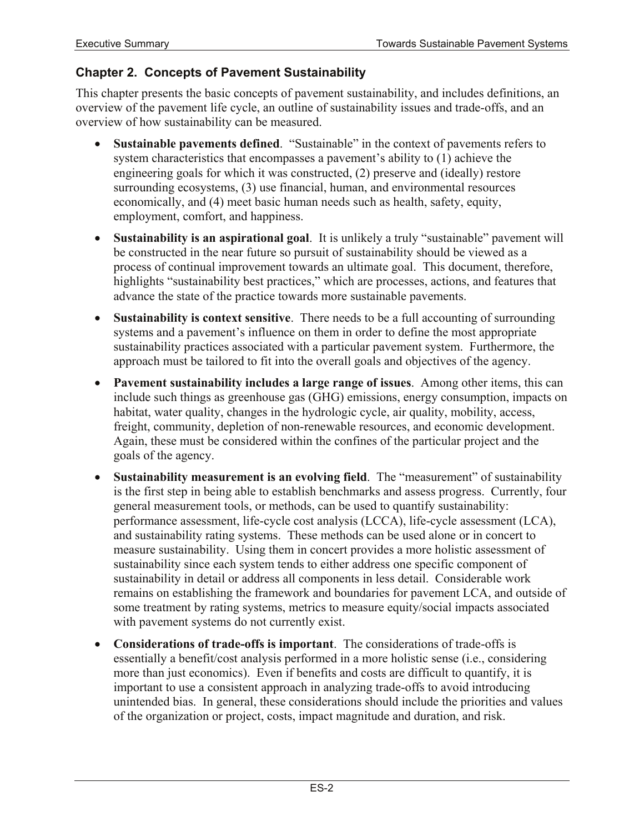#### **Chapter 2. Concepts of Pavement Sustainability**

This chapter presents the basic concepts of pavement sustainability, and includes definitions, an overview of the pavement life cycle, an outline of sustainability issues and trade-offs, and an overview of how sustainability can be measured.

- **Sustainable pavements defined**. "Sustainable" in the context of pavements refers to system characteristics that encompasses a pavement's ability to (1) achieve the engineering goals for which it was constructed, (2) preserve and (ideally) restore surrounding ecosystems, (3) use financial, human, and environmental resources economically, and (4) meet basic human needs such as health, safety, equity, employment, comfort, and happiness.
- **Sustainability is an aspirational goal**. It is unlikely a truly "sustainable" pavement will be constructed in the near future so pursuit of sustainability should be viewed as a process of continual improvement towards an ultimate goal. This document, therefore, highlights "sustainability best practices," which are processes, actions, and features that advance the state of the practice towards more sustainable pavements.
- **Sustainability is context sensitive**. There needs to be a full accounting of surrounding systems and a pavement's influence on them in order to define the most appropriate sustainability practices associated with a particular pavement system. Furthermore, the approach must be tailored to fit into the overall goals and objectives of the agency.
- **Pavement sustainability includes a large range of issues**. Among other items, this can include such things as greenhouse gas (GHG) emissions, energy consumption, impacts on habitat, water quality, changes in the hydrologic cycle, air quality, mobility, access, freight, community, depletion of non-renewable resources, and economic development. Again, these must be considered within the confines of the particular project and the goals of the agency.
- **Sustainability measurement is an evolving field**. The "measurement" of sustainability is the first step in being able to establish benchmarks and assess progress. Currently, four general measurement tools, or methods, can be used to quantify sustainability: performance assessment, life-cycle cost analysis (LCCA), life-cycle assessment (LCA), and sustainability rating systems. These methods can be used alone or in concert to measure sustainability. Using them in concert provides a more holistic assessment of sustainability since each system tends to either address one specific component of sustainability in detail or address all components in less detail. Considerable work remains on establishing the framework and boundaries for pavement LCA, and outside of some treatment by rating systems, metrics to measure equity/social impacts associated with pavement systems do not currently exist.
- **Considerations of trade-offs is important**. The considerations of trade-offs is essentially a benefit/cost analysis performed in a more holistic sense (i.e., considering more than just economics). Even if benefits and costs are difficult to quantify, it is important to use a consistent approach in analyzing trade-offs to avoid introducing unintended bias. In general, these considerations should include the priorities and values of the organization or project, costs, impact magnitude and duration, and risk.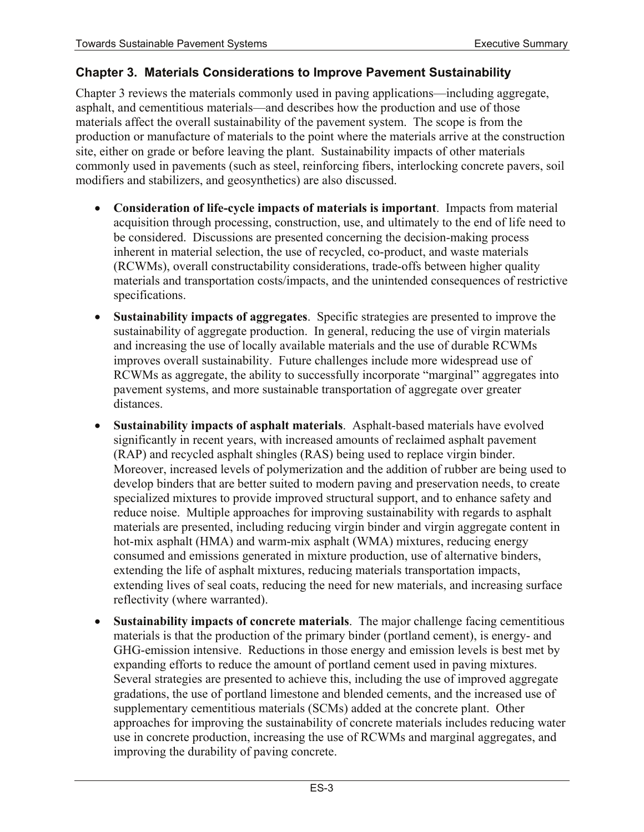#### **Chapter 3. Materials Considerations to Improve Pavement Sustainability**

Chapter 3 reviews the materials commonly used in paving applications—including aggregate, asphalt, and cementitious materials—and describes how the production and use of those materials affect the overall sustainability of the pavement system. The scope is from the production or manufacture of materials to the point where the materials arrive at the construction site, either on grade or before leaving the plant. Sustainability impacts of other materials commonly used in pavements (such as steel, reinforcing fibers, interlocking concrete pavers, soil modifiers and stabilizers, and geosynthetics) are also discussed.

- **Consideration of life-cycle impacts of materials is important**. Impacts from material acquisition through processing, construction, use, and ultimately to the end of life need to be considered. Discussions are presented concerning the decision-making process inherent in material selection, the use of recycled, co-product, and waste materials (RCWMs), overall constructability considerations, trade-offs between higher quality materials and transportation costs/impacts, and the unintended consequences of restrictive specifications.
- **Sustainability impacts of aggregates**. Specific strategies are presented to improve the sustainability of aggregate production. In general, reducing the use of virgin materials and increasing the use of locally available materials and the use of durable RCWMs improves overall sustainability. Future challenges include more widespread use of RCWMs as aggregate, the ability to successfully incorporate "marginal" aggregates into pavement systems, and more sustainable transportation of aggregate over greater distances.
- **Sustainability impacts of asphalt materials**. Asphalt-based materials have evolved significantly in recent years, with increased amounts of reclaimed asphalt pavement (RAP) and recycled asphalt shingles (RAS) being used to replace virgin binder. Moreover, increased levels of polymerization and the addition of rubber are being used to develop binders that are better suited to modern paving and preservation needs, to create specialized mixtures to provide improved structural support, and to enhance safety and reduce noise. Multiple approaches for improving sustainability with regards to asphalt materials are presented, including reducing virgin binder and virgin aggregate content in hot-mix asphalt (HMA) and warm-mix asphalt (WMA) mixtures, reducing energy consumed and emissions generated in mixture production, use of alternative binders, extending the life of asphalt mixtures, reducing materials transportation impacts, extending lives of seal coats, reducing the need for new materials, and increasing surface reflectivity (where warranted).
- **Sustainability impacts of concrete materials**.The major challenge facing cementitious materials is that the production of the primary binder (portland cement), is energy- and GHG-emission intensive. Reductions in those energy and emission levels is best met by expanding efforts to reduce the amount of portland cement used in paving mixtures. Several strategies are presented to achieve this, including the use of improved aggregate gradations, the use of portland limestone and blended cements, and the increased use of supplementary cementitious materials (SCMs) added at the concrete plant. Other approaches for improving the sustainability of concrete materials includes reducing water use in concrete production, increasing the use of RCWMs and marginal aggregates, and improving the durability of paving concrete.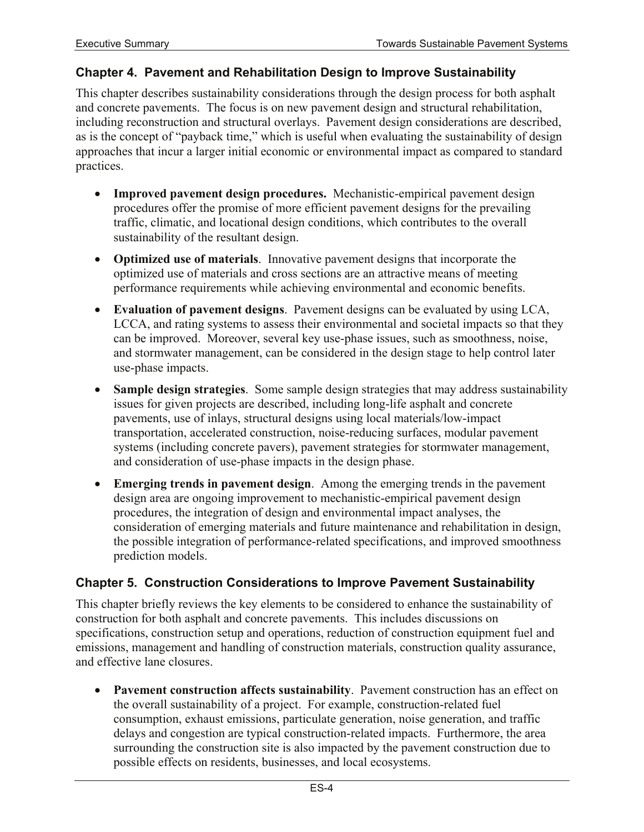#### **Chapter 4. Pavement and Rehabilitation Design to Improve Sustainability**

This chapter describes sustainability considerations through the design process for both asphalt and concrete pavements. The focus is on new pavement design and structural rehabilitation, including reconstruction and structural overlays. Pavement design considerations are described, as is the concept of "payback time," which is useful when evaluating the sustainability of design approaches that incur a larger initial economic or environmental impact as compared to standard practices.

- **Improved pavement design procedures.** Mechanistic-empirical pavement design procedures offer the promise of more efficient pavement designs for the prevailing traffic, climatic, and locational design conditions, which contributes to the overall sustainability of the resultant design.
- **Optimized use of materials**. Innovative pavement designs that incorporate the optimized use of materials and cross sections are an attractive means of meeting performance requirements while achieving environmental and economic benefits.
- **Evaluation of pavement designs**. Pavement designs can be evaluated by using LCA, LCCA, and rating systems to assess their environmental and societal impacts so that they can be improved. Moreover, several key use-phase issues, such as smoothness, noise, and stormwater management, can be considered in the design stage to help control later use-phase impacts.
- **Sample design strategies**. Some sample design strategies that may address sustainability issues for given projects are described, including long-life asphalt and concrete pavements, use of inlays, structural designs using local materials/low-impact transportation, accelerated construction, noise-reducing surfaces, modular pavement systems (including concrete pavers), pavement strategies for stormwater management, and consideration of use-phase impacts in the design phase.
- **Emerging trends in pavement design**. Among the emerging trends in the pavement design area are ongoing improvement to mechanistic-empirical pavement design procedures, the integration of design and environmental impact analyses, the consideration of emerging materials and future maintenance and rehabilitation in design, the possible integration of performance-related specifications, and improved smoothness prediction models.

#### **Chapter 5. Construction Considerations to Improve Pavement Sustainability**

This chapter briefly reviews the key elements to be considered to enhance the sustainability of construction for both asphalt and concrete pavements. This includes discussions on specifications, construction setup and operations, reduction of construction equipment fuel and emissions, management and handling of construction materials, construction quality assurance, and effective lane closures.

• **Pavement construction affects sustainability**. Pavement construction has an effect on the overall sustainability of a project. For example, construction-related fuel consumption, exhaust emissions, particulate generation, noise generation, and traffic delays and congestion are typical construction-related impacts. Furthermore, the area surrounding the construction site is also impacted by the pavement construction due to possible effects on residents, businesses, and local ecosystems.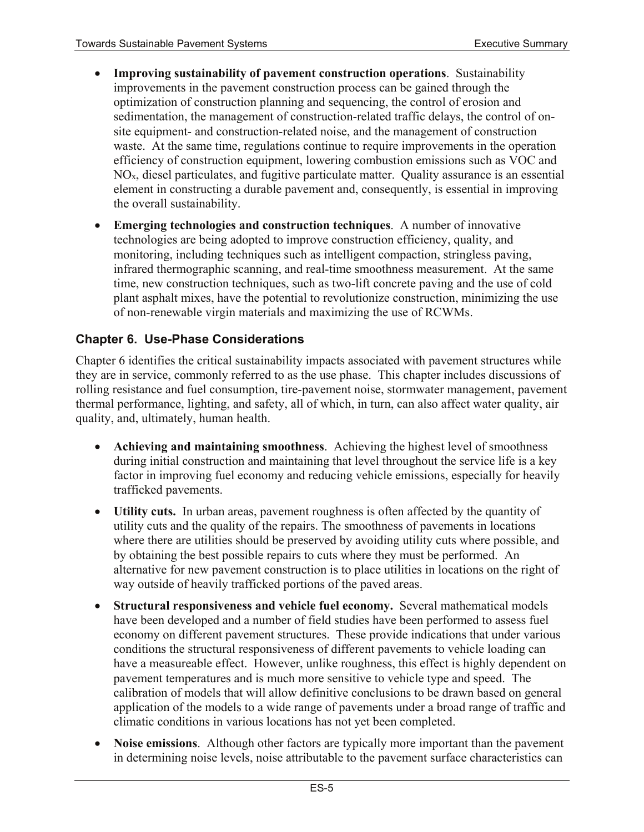- **Improving sustainability of pavement construction operations**. Sustainability improvements in the pavement construction process can be gained through the optimization of construction planning and sequencing, the control of erosion and sedimentation, the management of construction-related traffic delays, the control of onsite equipment- and construction-related noise, and the management of construction waste. At the same time, regulations continue to require improvements in the operation efficiency of construction equipment, lowering combustion emissions such as VOC and  $NO<sub>x</sub>$ , diesel particulates, and fugitive particulate matter. Quality assurance is an essential element in constructing a durable pavement and, consequently, is essential in improving the overall sustainability.
- **Emerging technologies and construction techniques**. A number of innovative technologies are being adopted to improve construction efficiency, quality, and monitoring, including techniques such as intelligent compaction, stringless paving, infrared thermographic scanning, and real-time smoothness measurement. At the same time, new construction techniques, such as two-lift concrete paving and the use of cold plant asphalt mixes, have the potential to revolutionize construction, minimizing the use of non-renewable virgin materials and maximizing the use of RCWMs.

#### **Chapter 6. Use-Phase Considerations**

Chapter 6 identifies the critical sustainability impacts associated with pavement structures while they are in service, commonly referred to as the use phase. This chapter includes discussions of rolling resistance and fuel consumption, tire-pavement noise, stormwater management, pavement thermal performance, lighting, and safety, all of which, in turn, can also affect water quality, air quality, and, ultimately, human health.

- **Achieving and maintaining smoothness**. Achieving the highest level of smoothness during initial construction and maintaining that level throughout the service life is a key factor in improving fuel economy and reducing vehicle emissions, especially for heavily trafficked pavements.
- **Utility cuts.** In urban areas, pavement roughness is often affected by the quantity of utility cuts and the quality of the repairs. The smoothness of pavements in locations where there are utilities should be preserved by avoiding utility cuts where possible, and by obtaining the best possible repairs to cuts where they must be performed. An alternative for new pavement construction is to place utilities in locations on the right of way outside of heavily trafficked portions of the paved areas.
- **Structural responsiveness and vehicle fuel economy.** Several mathematical models have been developed and a number of field studies have been performed to assess fuel economy on different pavement structures. These provide indications that under various conditions the structural responsiveness of different pavements to vehicle loading can have a measureable effect. However, unlike roughness, this effect is highly dependent on pavement temperatures and is much more sensitive to vehicle type and speed. The calibration of models that will allow definitive conclusions to be drawn based on general application of the models to a wide range of pavements under a broad range of traffic and climatic conditions in various locations has not yet been completed.
- **Noise emissions**. Although other factors are typically more important than the pavement in determining noise levels, noise attributable to the pavement surface characteristics can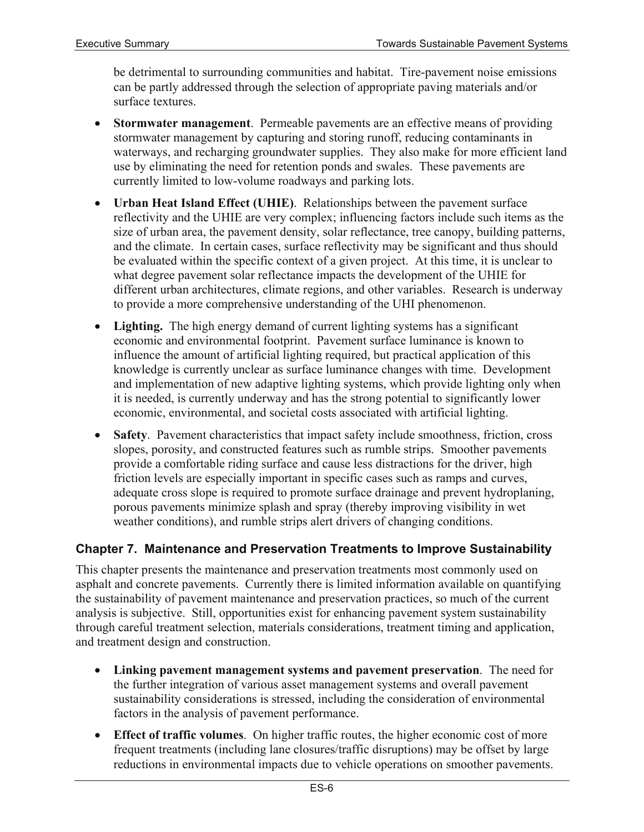be detrimental to surrounding communities and habitat. Tire-pavement noise emissions can be partly addressed through the selection of appropriate paving materials and/or surface textures.

- **Stormwater management**. Permeable pavements are an effective means of providing stormwater management by capturing and storing runoff, reducing contaminants in waterways, and recharging groundwater supplies. They also make for more efficient land use by eliminating the need for retention ponds and swales. These pavements are currently limited to low-volume roadways and parking lots.
- **Urban Heat Island Effect (UHIE)**. Relationships between the pavement surface reflectivity and the UHIE are very complex; influencing factors include such items as the size of urban area, the pavement density, solar reflectance, tree canopy, building patterns, and the climate. In certain cases, surface reflectivity may be significant and thus should be evaluated within the specific context of a given project. At this time, it is unclear to what degree pavement solar reflectance impacts the development of the UHIE for different urban architectures, climate regions, and other variables. Research is underway to provide a more comprehensive understanding of the UHI phenomenon.
- **Lighting.** The high energy demand of current lighting systems has a significant economic and environmental footprint. Pavement surface luminance is known to influence the amount of artificial lighting required, but practical application of this knowledge is currently unclear as surface luminance changes with time. Development and implementation of new adaptive lighting systems, which provide lighting only when it is needed, is currently underway and has the strong potential to significantly lower economic, environmental, and societal costs associated with artificial lighting.
- **Safety**. Pavement characteristics that impact safety include smoothness, friction, cross slopes, porosity, and constructed features such as rumble strips. Smoother pavements provide a comfortable riding surface and cause less distractions for the driver, high friction levels are especially important in specific cases such as ramps and curves, adequate cross slope is required to promote surface drainage and prevent hydroplaning, porous pavements minimize splash and spray (thereby improving visibility in wet weather conditions), and rumble strips alert drivers of changing conditions.

#### **Chapter 7. Maintenance and Preservation Treatments to Improve Sustainability**

This chapter presents the maintenance and preservation treatments most commonly used on asphalt and concrete pavements. Currently there is limited information available on quantifying the sustainability of pavement maintenance and preservation practices, so much of the current analysis is subjective. Still, opportunities exist for enhancing pavement system sustainability through careful treatment selection, materials considerations, treatment timing and application, and treatment design and construction.

- **Linking pavement management systems and pavement preservation**. The need for the further integration of various asset management systems and overall pavement sustainability considerations is stressed, including the consideration of environmental factors in the analysis of pavement performance.
- **Effect of traffic volumes**. On higher traffic routes, the higher economic cost of more frequent treatments (including lane closures/traffic disruptions) may be offset by large reductions in environmental impacts due to vehicle operations on smoother pavements.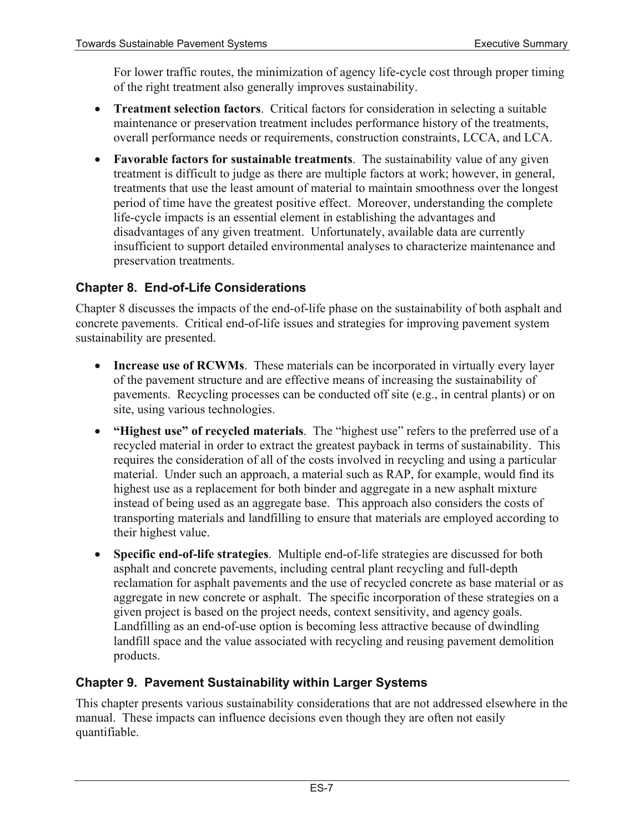For lower traffic routes, the minimization of agency life-cycle cost through proper timing of the right treatment also generally improves sustainability.

- **Treatment selection factors**. Critical factors for consideration in selecting a suitable maintenance or preservation treatment includes performance history of the treatments, overall performance needs or requirements, construction constraints, LCCA, and LCA.
- **Favorable factors for sustainable treatments**.The sustainability value of any given treatment is difficult to judge as there are multiple factors at work; however, in general, treatments that use the least amount of material to maintain smoothness over the longest period of time have the greatest positive effect. Moreover, understanding the complete life-cycle impacts is an essential element in establishing the advantages and disadvantages of any given treatment. Unfortunately, available data are currently insufficient to support detailed environmental analyses to characterize maintenance and preservation treatments.

## **Chapter 8. End-of-Life Considerations**

Chapter 8 discusses the impacts of the end-of-life phase on the sustainability of both asphalt and concrete pavements. Critical end-of-life issues and strategies for improving pavement system sustainability are presented.

- **Increase use of RCWMs**. These materials can be incorporated in virtually every layer of the pavement structure and are effective means of increasing the sustainability of pavements. Recycling processes can be conducted off site (e.g., in central plants) or on site, using various technologies.
- **"Highest use" of recycled materials**. The "highest use" refers to the preferred use of a recycled material in order to extract the greatest payback in terms of sustainability. This requires the consideration of all of the costs involved in recycling and using a particular material. Under such an approach, a material such as RAP, for example, would find its highest use as a replacement for both binder and aggregate in a new asphalt mixture instead of being used as an aggregate base. This approach also considers the costs of transporting materials and landfilling to ensure that materials are employed according to their highest value.
- **Specific end-of-life strategies**. Multiple end-of-life strategies are discussed for both asphalt and concrete pavements, including central plant recycling and full-depth reclamation for asphalt pavements and the use of recycled concrete as base material or as aggregate in new concrete or asphalt. The specific incorporation of these strategies on a given project is based on the project needs, context sensitivity, and agency goals. Landfilling as an end-of-use option is becoming less attractive because of dwindling landfill space and the value associated with recycling and reusing pavement demolition products.

## **Chapter 9. Pavement Sustainability within Larger Systems**

This chapter presents various sustainability considerations that are not addressed elsewhere in the manual. These impacts can influence decisions even though they are often not easily quantifiable.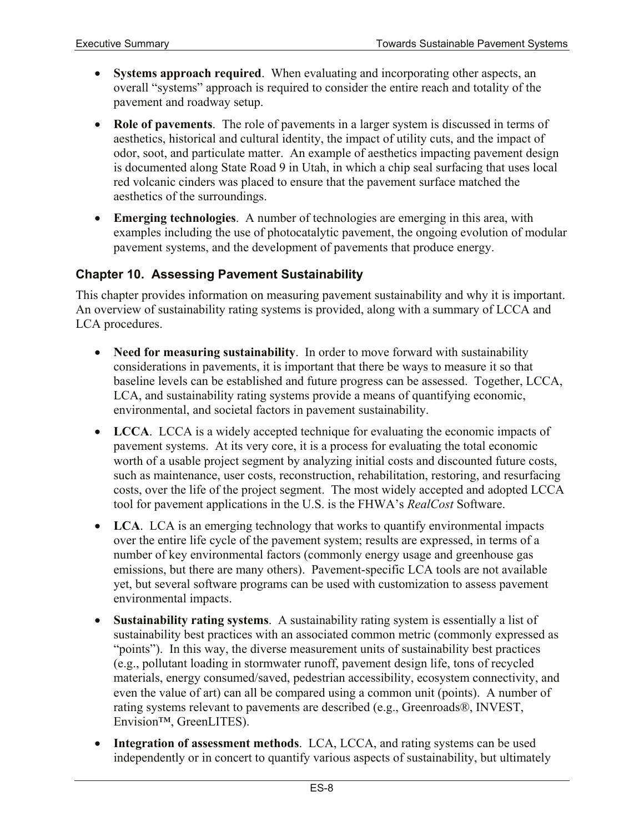- **Systems approach required**. When evaluating and incorporating other aspects, an overall "systems" approach is required to consider the entire reach and totality of the pavement and roadway setup.
- **Role of pavements**. The role of pavements in a larger system is discussed in terms of aesthetics, historical and cultural identity, the impact of utility cuts, and the impact of odor, soot, and particulate matter. An example of aesthetics impacting pavement design is documented along State Road 9 in Utah, in which a chip seal surfacing that uses local red volcanic cinders was placed to ensure that the pavement surface matched the aesthetics of the surroundings.
- **Emerging technologies**. A number of technologies are emerging in this area, with examples including the use of photocatalytic pavement, the ongoing evolution of modular pavement systems, and the development of pavements that produce energy.

#### **Chapter 10. Assessing Pavement Sustainability**

This chapter provides information on measuring pavement sustainability and why it is important. An overview of sustainability rating systems is provided, along with a summary of LCCA and LCA procedures.

- **Need for measuring sustainability**. In order to move forward with sustainability considerations in pavements, it is important that there be ways to measure it so that baseline levels can be established and future progress can be assessed. Together, LCCA, LCA, and sustainability rating systems provide a means of quantifying economic, environmental, and societal factors in pavement sustainability.
- **LCCA**. LCCA is a widely accepted technique for evaluating the economic impacts of pavement systems. At its very core, it is a process for evaluating the total economic worth of a usable project segment by analyzing initial costs and discounted future costs, such as maintenance, user costs, reconstruction, rehabilitation, restoring, and resurfacing costs, over the life of the project segment. The most widely accepted and adopted LCCA tool for pavement applications in the U.S. is the FHWA's *RealCost* Software.
- **LCA**. LCA is an emerging technology that works to quantify environmental impacts over the entire life cycle of the pavement system; results are expressed, in terms of a number of key environmental factors (commonly energy usage and greenhouse gas emissions, but there are many others). Pavement-specific LCA tools are not available yet, but several software programs can be used with customization to assess pavement environmental impacts.
- **Sustainability rating systems**. A sustainability rating system is essentially a list of sustainability best practices with an associated common metric (commonly expressed as "points"). In this way, the diverse measurement units of sustainability best practices (e.g., pollutant loading in stormwater runoff, pavement design life, tons of recycled materials, energy consumed/saved, pedestrian accessibility, ecosystem connectivity, and even the value of art) can all be compared using a common unit (points). A number of rating systems relevant to pavements are described (e.g., Greenroads®, INVEST, Envision™, GreenLITES).
- **Integration of assessment methods**. LCA, LCCA, and rating systems can be used independently or in concert to quantify various aspects of sustainability, but ultimately